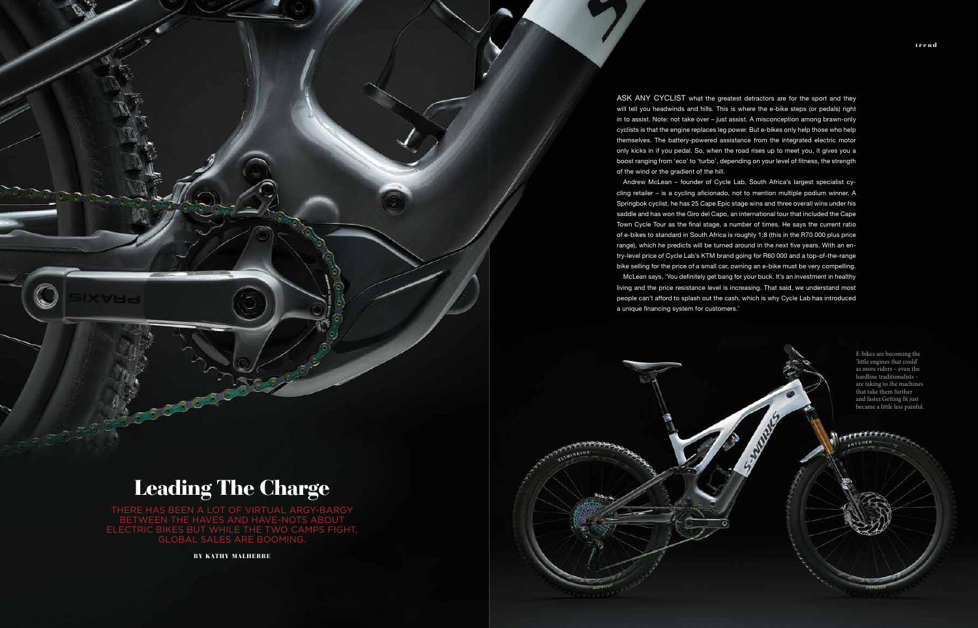trend

ASK ANY CYCLIST what the greatest detractors are for the sport and they will tell you headwinds and hills. This is where the e-bike steps (or pedals) right in to assist. Note: not take over – just assist. A misconception among brawn-only cyclists is that the engine replaces leg power. But e-bikes only help those who help themselves. The battery-powered assistance from the integrated electric motor only kicks in if you pedal. So, when the road rises up to meet you, it gives you a boost ranging from 'eco' to 'turbo', depending on your level of fitness, the strength

of the wind or the gradient of the hill.

Andrew McLean – founder of Cycle Lab, South Africa's largest specialist cycling retailer – is a cycling aficionado, not to mention multiple podium winner. A Springbok cyclist, he has 25 Cape Epic stage wins and three overall wins under his saddle and has won the Giro del Capo, an international tour that included the Cape Town Cycle Tour as the final stage, a number of times. He says the current ratio of e-bikes to standard in South Africa is roughly 1:8 (this in the R70 000 plus price range), which he predicts will be turned around in the next five years. With an entry-level price of Cycle Lab's KTM brand going for R60 000 and a top-of-the-range bike selling for the price of a small car, owning an e-bike must be very compelling. McLean says, 'You definitely get bang for your buck. It's an investment in healthy living and the price resistance level is increasing. That said, we understand most people can't afford to splash out the cash, which is why Cycle Lab has introduced a unique financing system for customers.'

## Leading The Charge

THERE HAS BEEN A LOT OF VIRTUAL ARGY-BARGY BETWEEN THE HAVES AND HAVE-NOTS ABOUT ELECTRIC BIKES BUT WHILE THE TWO CAMPS FIGHT, GLOBAL SALES ARE BOOMING.

BY KATHY MALHERBE